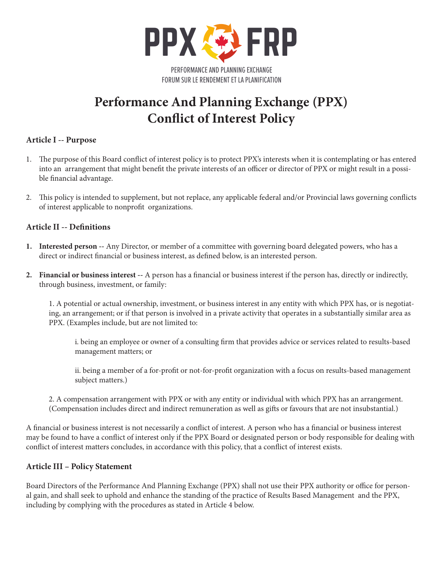

# **Performance And Planning Exchange (PPX) Conflict of Interest Policy**

# **Article I -- Purpose**

- 1. The purpose of this Board conflict of interest policy is to protect PPX's interests when it is contemplating or has entered into an arrangement that might benefit the private interests of an officer or director of PPX or might result in a possible financial advantage.
- 2. This policy is intended to supplement, but not replace, any applicable federal and/or Provincial laws governing conflicts of interest applicable to nonprofit organizations.

# **Article II -- Definitions**

- **1. Interested person --** Any Director, or member of a committee with governing board delegated powers, who has a direct or indirect financial or business interest, as defined below, is an interested person.
- **2. Financial or business interest --** A person has a financial or business interest if the person has, directly or indirectly, through business, investment, or family:

1. A potential or actual ownership, investment, or business interest in any entity with which PPX has, or is negotiating, an arrangement; or if that person is involved in a private activity that operates in a substantially similar area as PPX. (Examples include, but are not limited to:

i. being an employee or owner of a consulting firm that provides advice or services related to results-based management matters; or

ii. being a member of a for-profit or not-for-profit organization with a focus on results-based management subject matters.)

2. A compensation arrangement with PPX or with any entity or individual with which PPX has an arrangement. (Compensation includes direct and indirect remuneration as well as gifts or favours that are not insubstantial.)

A financial or business interest is not necessarily a conflict of interest. A person who has a financial or business interest may be found to have a conflict of interest only if the PPX Board or designated person or body responsible for dealing with conflict of interest matters concludes, in accordance with this policy, that a conflict of interest exists.

### **Article III – Policy Statement**

Board Directors of the Performance And Planning Exchange (PPX) shall not use their PPX authority or office for personal gain, and shall seek to uphold and enhance the standing of the practice of Results Based Management and the PPX, including by complying with the procedures as stated in Article 4 below.